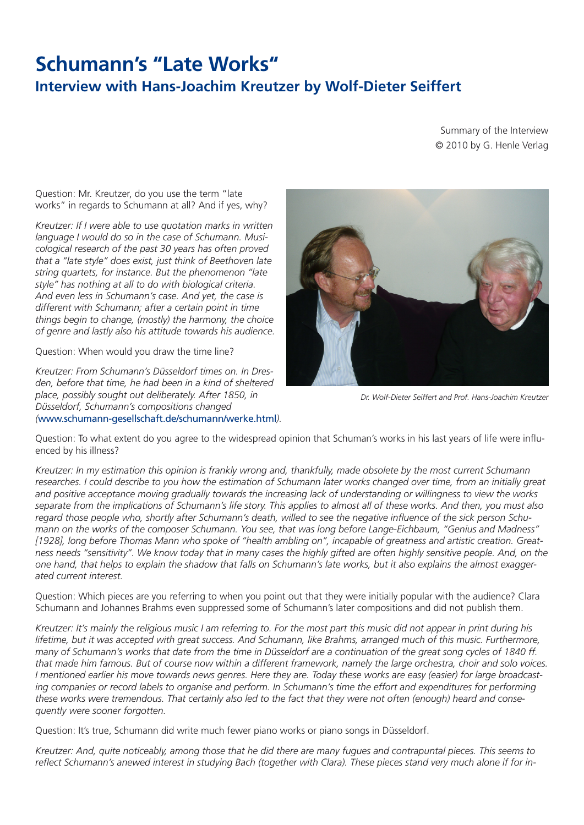## **Schumann's "Late Works" Interview with Hans-Joachim Kreutzer by Wolf-Dieter Seiffert**

Summary of the Interview © 2010 by G. Henle Verlag

Question: Mr. Kreutzer, do you use the term "late works" in regards to Schumann at all? And if yes, why?

*Kreutzer: If I were able to use quotation marks in written language I would do so in the case of Schumann. Musicological research of the past 30 years has often proved that a "late style" does exist, just think of Beethoven late string quartets, for instance. But the phenomenon "late style" has nothing at all to do with biological criteria. And even less in Schumann's case. And yet, the case is different with Schumann; after a certain point in time things begin to change, (mostly) the harmony, the choice of genre and lastly also his attitude towards his audience.*

Question: When would you draw the time line?

*Kreutzer: From Schumann's Düsseldorf times on. In Dresden, before that time, he had been in a kind of sheltered place, possibly sought out deliberately. After 1850, in Düsseldorf, Schumann's compositions changed (*[www.schumann-gesellschaft.de/schumann/werke.html](http://www.schumann-gesellschaft.de/schumann/werke.html)*).* 



*Dr. Wolf-Dieter Seiffert and Prof. Hans-Joachim Kreutzer*

Question: To what extent do you agree to the widespread opinion that Schuman's works in his last years of life were influenced by his illness?

*Kreutzer: In my estimation this opinion is frankly wrong and, thankfully, made obsolete by the most current Schumann researches. I could describe to you how the estimation of Schumann later works changed over time, from an initially great and positive acceptance moving gradually towards the increasing lack of understanding or willingness to view the works separate from the implications of Schumann's life story. This applies to almost all of these works. And then, you must also regard those people who, shortly after Schumann's death, willed to see the negative influence of the sick person Schumann on the works of the composer Schumann. You see, that was long before Lange-Eichbaum, "Genius and Madness" [1928], long before Thomas Mann who spoke of "health ambling on", incapable of greatness and artistic creation. Greatness needs "sensitivity". We know today that in many cases the highly gifted are often highly sensitive people. And, on the one hand, that helps to explain the shadow that falls on Schumann's late works, but it also explains the almost exaggerated current interest.*

Question: Which pieces are you referring to when you point out that they were initially popular with the audience? Clara Schumann and Johannes Brahms even suppressed some of Schumann's later compositions and did not publish them.

*Kreutzer: It's mainly the religious music I am referring to. For the most part this music did not appear in print during his lifetime, but it was accepted with great success. And Schumann, like Brahms, arranged much of this music. Furthermore, many of Schumann's works that date from the time in Düsseldorf are a continuation of the great song cycles of 1840 ff. that made him famous. But of course now within a different framework, namely the large orchestra, choir and solo voices. I mentioned earlier his move towards news genres. Here they are. Today these works are easy (easier) for large broadcasting companies or record labels to organise and perform. In Schumann's time the effort and expenditures for performing these works were tremendous. That certainly also led to the fact that they were not often (enough) heard and consequently were sooner forgotten.*

Question: It's true, Schumann did write much fewer piano works or piano songs in Düsseldorf.

*Kreutzer: And, quite noticeably, among those that he did there are many fugues and contrapuntal pieces. This seems to reflect Schumann's anewed interest in studying Bach (together with Clara). These pieces stand very much alone if for in-*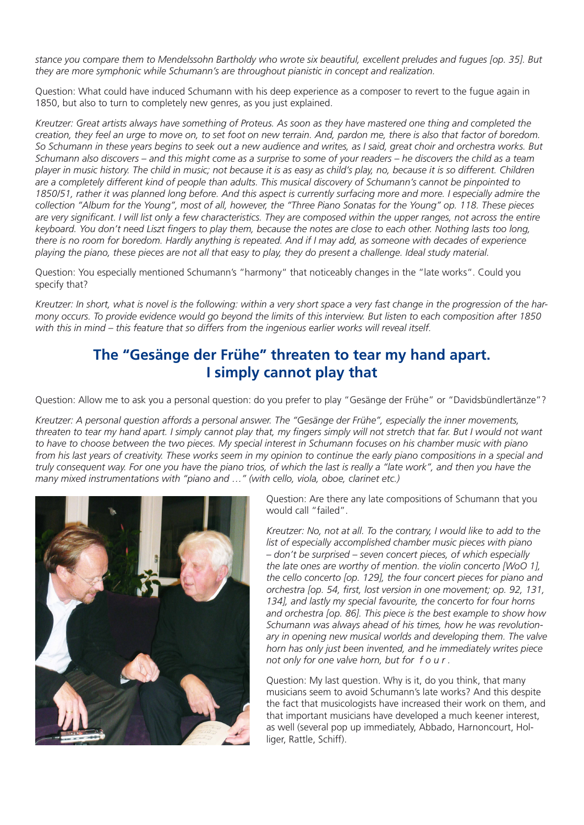*stance you compare them to Mendelssohn Bartholdy who wrote six beautiful, excellent preludes and fugues [op. 35]. But they are more symphonic while Schumann's are throughout pianistic in concept and realization.*

Question: What could have induced Schumann with his deep experience as a composer to revert to the fugue again in 1850, but also to turn to completely new genres, as you just explained.

*Kreutzer: Great artists always have something of Proteus. As soon as they have mastered one thing and completed the creation, they feel an urge to move on, to set foot on new terrain. And, pardon me, there is also that factor of boredom. So Schumann in these years begins to seek out a new audience and writes, as I said, great choir and orchestra works. But Schumann also discovers – and this might come as a surprise to some of your readers – he discovers the child as a team player in music history. The child in music; not because it is as easy as child's play, no, because it is so different. Children are a completely different kind of people than adults. This musical discovery of Schumann's cannot be pinpointed to 1850/51, rather it was planned long before. And this aspect is currently surfacing more and more. I especially admire the collection "Album for the Young", most of all, however, the "Three Piano Sonatas for the Young" op. 118. These pieces are very significant. I will list only a few characteristics. They are composed within the upper ranges, not across the entire keyboard. You don't need Liszt fingers to play them, because the notes are close to each other. Nothing lasts too long, there is no room for boredom. Hardly anything is repeated. And if I may add, as someone with decades of experience playing the piano, these pieces are not all that easy to play, they do present a challenge. Ideal study material.*

Question: You especially mentioned Schumann's "harmony" that noticeably changes in the "late works". Could you specify that?

*Kreutzer: In short, what is novel is the following: within a very short space a very fast change in the progression of the harmony occurs. To provide evidence would go beyond the limits of this interview. But listen to each composition after 1850 with this in mind – this feature that so differs from the ingenious earlier works will reveal itself.* 

## **The "Gesänge der Frühe" threaten to tear my hand apart. I simply cannot play that**

Question: Allow me to ask you a personal question: do you prefer to play "Gesänge der Frühe" or "Davidsbündlertänze"?

*Kreutzer: A personal question affords a personal answer. The "Gesänge der Frühe", especially the inner movements, threaten to tear my hand apart. I simply cannot play that, my fingers simply will not stretch that far. But I would not want to have to choose between the two pieces. My special interest in Schumann focuses on his chamber music with piano from his last years of creativity. These works seem in my opinion to continue the early piano compositions in a special and truly consequent way. For one you have the piano trios, of which the last is really a "late work", and then you have the many mixed instrumentations with "piano and …" (with cello, viola, oboe, clarinet etc.)*



Question: Are there any late compositions of Schumann that you would call "failed".

*Kreutzer: No, not at all. To the contrary, I would like to add to the list of especially accomplished chamber music pieces with piano – don't be surprised – seven concert pieces, of which especially the late ones are worthy of mention. the violin concerto [WoO 1], the cello concerto [op. 129], the four concert pieces for piano and orchestra [op. 54, first, lost version in one movement; op. 92, 131, 134], and lastly my special favourite, the concerto for four horns and orchestra [op. 86]. This piece is the best example to show how Schumann was always ahead of his times, how he was revolutionary in opening new musical worlds and developing them. The valve horn has only just been invented, and he immediately writes piece not only for one valve horn, but for f o u r .*

Question: My last question. Why is it, do you think, that many musicians seem to avoid Schumann's late works? And this despite the fact that musicologists have increased their work on them, and that important musicians have developed a much keener interest, as well (several pop up immediately, Abbado, Harnoncourt, Holliger, Rattle, Schiff).